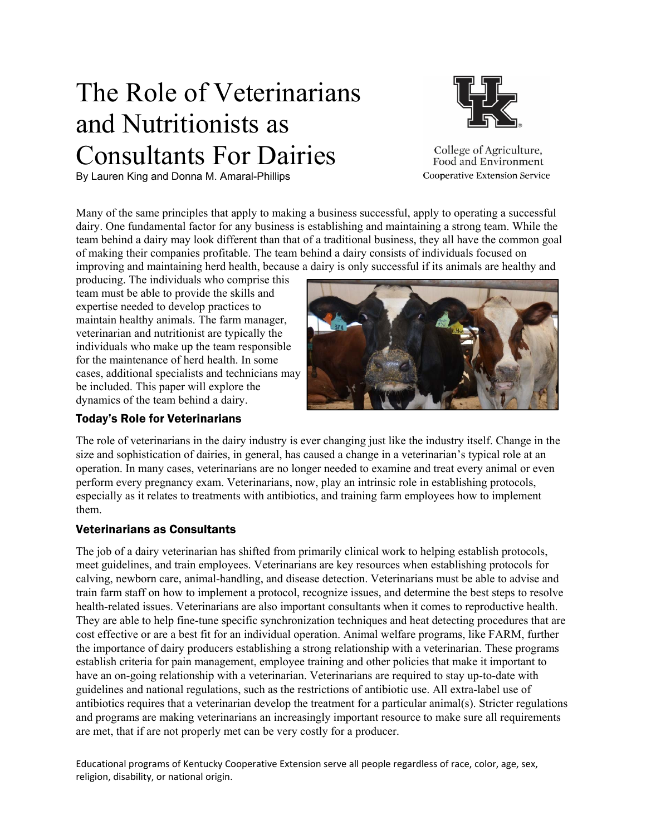# The Role of Veterinarians and Nutritionists as Consultants For Dairies

By Lauren King and Donna M. Amaral-Phillips



College of Agriculture, Food and Environment **Cooperative Extension Service** 

Many of the same principles that apply to making a business successful, apply to operating a successful dairy. One fundamental factor for any business is establishing and maintaining a strong team. While the team behind a dairy may look different than that of a traditional business, they all have the common goal of making their companies profitable. The team behind a dairy consists of individuals focused on improving and maintaining herd health, because a dairy is only successful if its animals are healthy and

producing. The individuals who comprise this team must be able to provide the skills and expertise needed to develop practices to maintain healthy animals. The farm manager, veterinarian and nutritionist are typically the individuals who make up the team responsible for the maintenance of herd health. In some cases, additional specialists and technicians may be included. This paper will explore the dynamics of the team behind a dairy.

# Today's Role for Veterinarians



The role of veterinarians in the dairy industry is ever changing just like the industry itself. Change in the size and sophistication of dairies, in general, has caused a change in a veterinarian's typical role at an operation. In many cases, veterinarians are no longer needed to examine and treat every animal or even perform every pregnancy exam. Veterinarians, now, play an intrinsic role in establishing protocols, especially as it relates to treatments with antibiotics, and training farm employees how to implement them.

# Veterinarians as Consultants

The job of a dairy veterinarian has shifted from primarily clinical work to helping establish protocols, meet guidelines, and train employees. Veterinarians are key resources when establishing protocols for calving, newborn care, animal-handling, and disease detection. Veterinarians must be able to advise and train farm staff on how to implement a protocol, recognize issues, and determine the best steps to resolve health-related issues. Veterinarians are also important consultants when it comes to reproductive health. They are able to help fine-tune specific synchronization techniques and heat detecting procedures that are cost effective or are a best fit for an individual operation. Animal welfare programs, like FARM, further the importance of dairy producers establishing a strong relationship with a veterinarian. These programs establish criteria for pain management, employee training and other policies that make it important to have an on-going relationship with a veterinarian. Veterinarians are required to stay up-to-date with guidelines and national regulations, such as the restrictions of antibiotic use. All extra-label use of antibiotics requires that a veterinarian develop the treatment for a particular animal(s). Stricter regulations and programs are making veterinarians an increasingly important resource to make sure all requirements are met, that if are not properly met can be very costly for a producer.

Educational programs of Kentucky Cooperative Extension serve all people regardless of race, color, age, sex, religion, disability, or national origin.